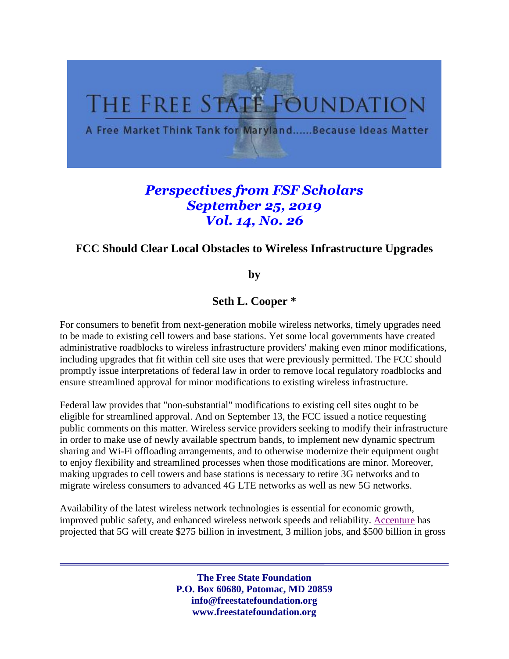

## *Perspectives from FSF Scholars September 25, 2019 Vol. 14, No. 26*

## **FCC Should Clear Local Obstacles to Wireless Infrastructure Upgrades**

**by** 

**Seth L. Cooper \*** 

For consumers to benefit from next-generation mobile wireless networks, timely upgrades need to be made to existing cell towers and base stations. Yet some local governments have created administrative roadblocks to wireless infrastructure providers' making even minor modifications, including upgrades that fit within cell site uses that were previously permitted. The FCC should promptly issue interpretations of federal law in order to remove local regulatory roadblocks and ensure streamlined approval for minor modifications to existing wireless infrastructure.

Federal law provides that "non-substantial" modifications to existing cell sites ought to be eligible for streamlined approval. And on September 13, the FCC issued a notice requesting public comments on this matter. Wireless service providers seeking to modify their infrastructure in order to make use of newly available spectrum bands, to implement new dynamic spectrum sharing and Wi-Fi offloading arrangements, and to otherwise modernize their equipment ought to enjoy flexibility and streamlined processes when those modifications are minor. Moreover, making upgrades to cell towers and base stations is necessary to retire 3G networks and to migrate wireless consumers to advanced 4G LTE networks as well as new 5G networks.

Availability of the latest wireless network technologies is essential for economic growth, improved public safety, and enhanced wireless network speeds and reliability. [Accenture](https://api.ctia.org/docs/default-source/default-document-library/how-5g-can-help-municipalities-become-vibrant-smart-cities-accenture.pdf) has projected that 5G will create \$275 billion in investment, 3 million jobs, and \$500 billion in gross

> **The Free State Foundation P.O. Box 60680, Potomac, MD 20859 info@freestatefoundation.org www.freestatefoundation.org**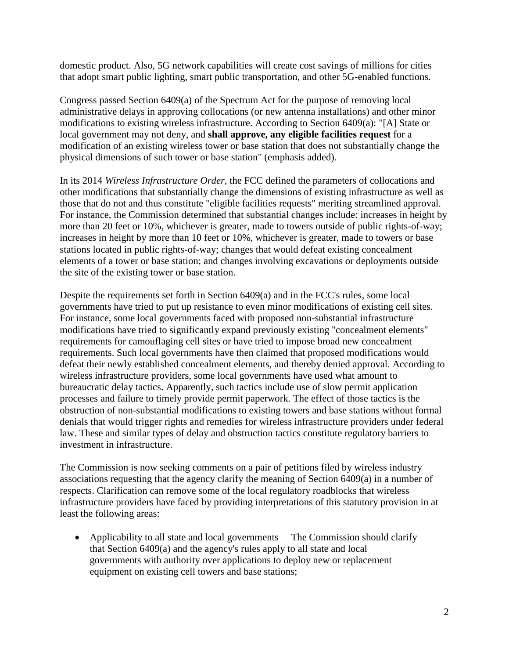domestic product. Also, 5G network capabilities will create cost savings of millions for cities that adopt smart public lighting, smart public transportation, and other 5G-enabled functions.

Congress passed Section 6409(a) of the Spectrum Act for the purpose of removing local administrative delays in approving collocations (or new antenna installations) and other minor modifications to existing wireless infrastructure. According to Section 6409(a): "[A] State or local government may not deny, and **shall approve, any eligible facilities request** for a modification of an existing wireless tower or base station that does not substantially change the physical dimensions of such tower or base station" (emphasis added).

In its 2014 *Wireless Infrastructure Order*, the FCC defined the parameters of collocations and other modifications that substantially change the dimensions of existing infrastructure as well as those that do not and thus constitute "eligible facilities requests" meriting streamlined approval. For instance, the Commission determined that substantial changes include: increases in height by more than 20 feet or 10%, whichever is greater, made to towers outside of public rights-of-way; increases in height by more than 10 feet or 10%, whichever is greater, made to towers or base stations located in public rights-of-way; changes that would defeat existing concealment elements of a tower or base station; and changes involving excavations or deployments outside the site of the existing tower or base station.

Despite the requirements set forth in Section 6409(a) and in the FCC's rules, some local governments have tried to put up resistance to even minor modifications of existing cell sites. For instance, some local governments faced with proposed non-substantial infrastructure modifications have tried to significantly expand previously existing "concealment elements" requirements for camouflaging cell sites or have tried to impose broad new concealment requirements. Such local governments have then claimed that proposed modifications would defeat their newly established concealment elements, and thereby denied approval. According to wireless infrastructure providers, some local governments have used what amount to bureaucratic delay tactics. Apparently, such tactics include use of slow permit application processes and failure to timely provide permit paperwork. The effect of those tactics is the obstruction of non-substantial modifications to existing towers and base stations without formal denials that would trigger rights and remedies for wireless infrastructure providers under federal law. These and similar types of delay and obstruction tactics constitute regulatory barriers to investment in infrastructure.

The Commission is now seeking comments on a pair of petitions filed by wireless industry associations requesting that the agency clarify the meaning of Section 6409(a) in a number of respects. Clarification can remove some of the local regulatory roadblocks that wireless infrastructure providers have faced by providing interpretations of this statutory provision in at least the following areas:

• Applicability to all state and local governments – The Commission should clarify that Section 6409(a) and the agency's rules apply to all state and local governments with authority over applications to deploy new or replacement equipment on existing cell towers and base stations;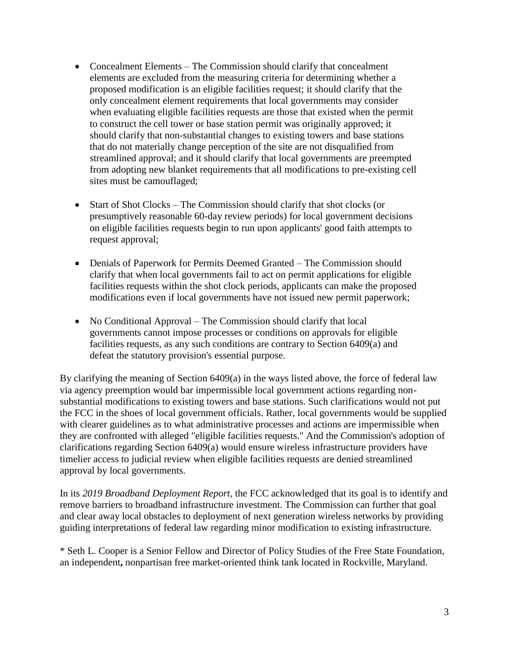- Concealment Elements The Commission should clarify that concealment elements are excluded from the measuring criteria for determining whether a proposed modification is an eligible facilities request; it should clarify that the only concealment element requirements that local governments may consider when evaluating eligible facilities requests are those that existed when the permit to construct the cell tower or base station permit was originally approved; it should clarify that non-substantial changes to existing towers and base stations that do not materially change perception of the site are not disqualified from streamlined approval; and it should clarify that local governments are preempted from adopting new blanket requirements that all modifications to pre-existing cell sites must be camouflaged;
- Start of Shot Clocks The Commission should clarify that shot clocks (or presumptively reasonable 60-day review periods) for local government decisions on eligible facilities requests begin to run upon applicants' good faith attempts to request approval;
- Denials of Paperwork for Permits Deemed Granted The Commission should clarify that when local governments fail to act on permit applications for eligible facilities requests within the shot clock periods, applicants can make the proposed modifications even if local governments have not issued new permit paperwork;
- No Conditional Approval The Commission should clarify that local governments cannot impose processes or conditions on approvals for eligible facilities requests, as any such conditions are contrary to Section 6409(a) and defeat the statutory provision's essential purpose.

By clarifying the meaning of Section 6409(a) in the ways listed above, the force of federal law via agency preemption would bar impermissible local government actions regarding nonsubstantial modifications to existing towers and base stations. Such clarifications would not put the FCC in the shoes of local government officials. Rather, local governments would be supplied with clearer guidelines as to what administrative processes and actions are impermissible when they are confronted with alleged "eligible facilities requests." And the Commission's adoption of clarifications regarding Section 6409(a) would ensure wireless infrastructure providers have timelier access to judicial review when eligible facilities requests are denied streamlined approval by local governments.

In its *2019 Broadband Deployment Report*, the FCC acknowledged that its goal is to identify and remove barriers to broadband infrastructure investment. The Commission can further that goal and clear away local obstacles to deployment of next generation wireless networks by providing guiding interpretations of federal law regarding minor modification to existing infrastructure.

\* Seth L. Cooper is a Senior Fellow and Director of Policy Studies of the Free State Foundation, an independent**,** nonpartisan free market-oriented think tank located in Rockville, Maryland.